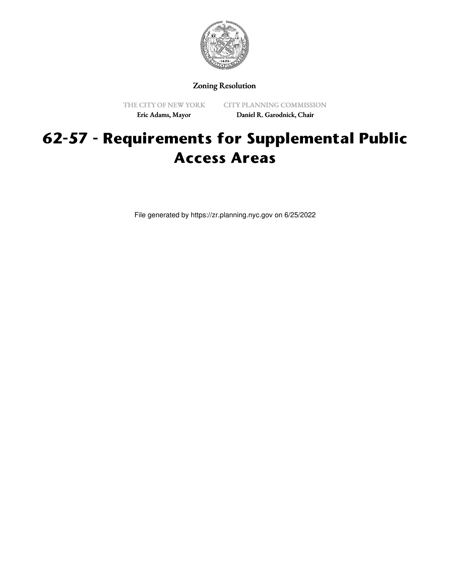

Zoning Resolution

THE CITY OF NEW YORK Eric Adams, Mayor

CITY PLANNING COMMISSION Daniel R. Garodnick, Chair

# **62-57 - Requirements for Supplemental Public Access Areas**

File generated by https://zr.planning.nyc.gov on 6/25/2022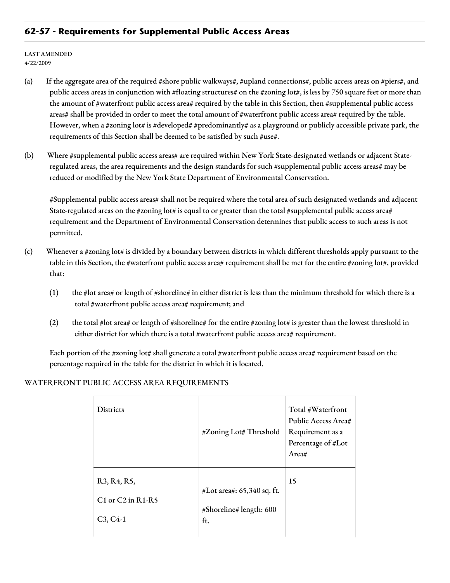### **62-57 - Requirements for Supplemental Public Access Areas**

LAST AMENDED 4/22/2009

- (a) If the aggregate area of the required #shore public walkways#, #upland connections#, public access areas on #piers#, and public access areas in conjunction with #floating structures# on the #zoning lot#, is less by 750 square feet or more than the amount of #waterfront public access area# required by the table in this Section, then #supplemental public access areas# shall be provided in order to meet the total amount of #waterfront public access area# required by the table. However, when a #zoning lot# is #developed# #predominantly# as a playground or publicly accessible private park, the requirements of this Section shall be deemed to be satisfied by such #use#.
- (b) Where #supplemental public access areas# are required within New York State-designated wetlands or adjacent Stateregulated areas, the area requirements and the design standards for such #supplemental public access areas# may be reduced or modified by the New York State Department of Environmental Conservation.

#Supplemental public access areas# shall not be required where the total area of such designated wetlands and adjacent State-regulated areas on the #zoning lot# is equal to or greater than the total #supplemental public access area# requirement and the Department of Environmental Conservation determines that public access to such areas is not permitted.

- (c) Whenever a #zoning lot# is divided by a boundary between districts in which different thresholds apply pursuant to the table in this Section, the #waterfront public access area# requirement shall be met for the entire #zoning lot#, provided that:
	- (1) the #lot area# or length of #shoreline# in either district is less than the minimum threshold for which there is a total #waterfront public access area# requirement; and
	- (2) the total #lot area# or length of #shoreline# for the entire #zoning lot# is greater than the lowest threshold in either district for which there is a total #waterfront public access area# requirement.

Each portion of the #zoning lot# shall generate a total #waterfront public access area# requirement based on the percentage required in the table for the district in which it is located.

#### WATERFRONT PUBLIC ACCESS AREA REQUIREMENTS

| <b>Districts</b>                                                                                                     | #Zoning Lot# Threshold                                       | Total #Waterfront<br>Public Access Area#<br>Requirement as a<br>Percentage of #Lot<br>Area# |
|----------------------------------------------------------------------------------------------------------------------|--------------------------------------------------------------|---------------------------------------------------------------------------------------------|
| R <sub>3</sub> , R <sub>4</sub> , R <sub>5</sub> ,<br>$C1$ or $C2$ in R <sub>1</sub> -R <sub>5</sub><br>$C_3, C_4-1$ | #Lot area#: 65,340 sq. ft.<br>#Shoreline# length: 600<br>ft. | 15                                                                                          |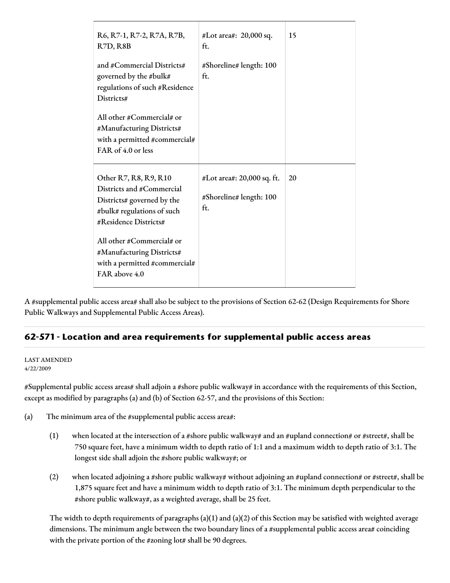| R6, R7-1, R7-2, R7A, R7B,<br>R7D, R8B                                                                                                   | #Lot area#: 20,000 sq.<br>ft.                                | 15 |
|-----------------------------------------------------------------------------------------------------------------------------------------|--------------------------------------------------------------|----|
| and #Commercial Districts#<br>governed by the #bulk#<br>regulations of such #Residence<br>Districts#                                    | #Shoreline# length: 100<br>ft.                               |    |
| All other #Commercial# or<br>#Manufacturing Districts#<br>with a permitted #commercial#<br>FAR of 4.0 or less                           |                                                              |    |
| Other R7, R8, R9, R10<br>Districts and #Commercial<br>Districts# governed by the<br>#bulk# regulations of such<br>#Residence Districts# | #Lot area#: 20,000 sq. ft.<br>#Shoreline# length: 100<br>ft. | 20 |
| All other #Commercial# or<br>#Manufacturing Districts#<br>with a permitted #commercial#<br>FAR above 4.0                                |                                                              |    |

A #supplemental public access area# shall also be subject to the provisions of Section 62-62 (Design Requirements for Shore Public Walkways and Supplemental Public Access Areas).

## **62-571 - Location and area requirements for supplemental public access areas**

#### LAST AMENDED 4/22/2009

#Supplemental public access areas# shall adjoin a #shore public walkway# in accordance with the requirements of this Section, except as modified by paragraphs (a) and (b) of Section 62-57, and the provisions of this Section:

(a) The minimum area of the #supplemental public access area#:

- (1) when located at the intersection of a #shore public walkway# and an #upland connection# or #street#, shall be 750 square feet, have a minimum width to depth ratio of 1:1 and a maximum width to depth ratio of 3:1. The longest side shall adjoin the #shore public walkway#; or
- (2) when located adjoining a #shore public walkway# without adjoining an #upland connection# or #street#, shall be 1,875 square feet and have a minimum width to depth ratio of 3:1. The minimum depth perpendicular to the #shore public walkway#, as a weighted average, shall be 25 feet.

The width to depth requirements of paragraphs (a)(1) and (a)(2) of this Section may be satisfied with weighted average dimensions. The minimum angle between the two boundary lines of a #supplemental public access area# coinciding with the private portion of the #zoning lot# shall be 90 degrees.